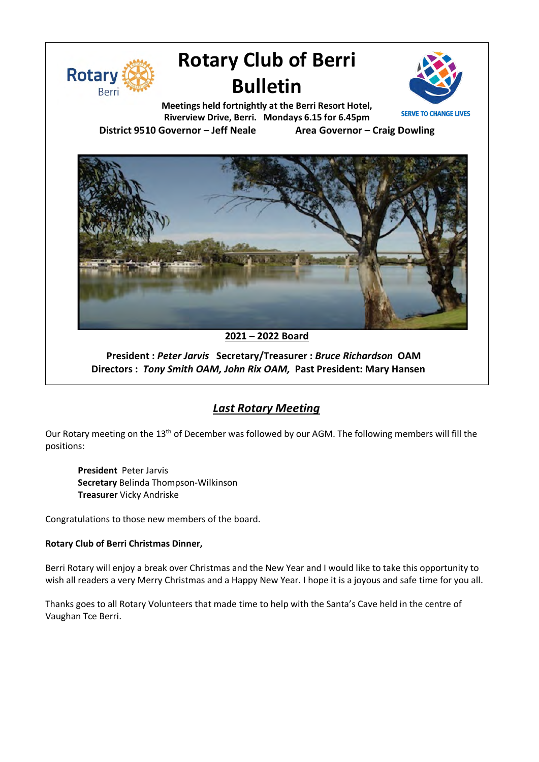

# **Rotary Club of Berri Bulletin**



**Meetings held fortnightly at the Berri Resort Hotel, Riverview Drive, Berri. Mondays 6.15 for 6.45pm District 9510 Governor – Jeff Neale Area Governor – Craig Dowling**



### **2021 – 2022 Board**

**President :** *Peter Jarvis* **Secretary/Treasurer :** *Bruce Richardson* **OAM Directors :** *Tony Smith OAM, John Rix OAM,* **Past President: Mary Hansen**

## *Last Rotary Meeting*

Our Rotary meeting on the 13<sup>th</sup> of December was followed by our AGM. The following members will fill the positions:

**President** Peter Jarvis **Secretary** Belinda Thompson-Wilkinson **Treasurer** Vicky Andriske

Congratulations to those new members of the board.

#### **Rotary Club of Berri Christmas Dinner,**

Berri Rotary will enjoy a break over Christmas and the New Year and I would like to take this opportunity to wish all readers a very Merry Christmas and a Happy New Year. I hope it is a joyous and safe time for you all.

Thanks goes to all Rotary Volunteers that made time to help with the Santa's Cave held in the centre of Vaughan Tce Berri.